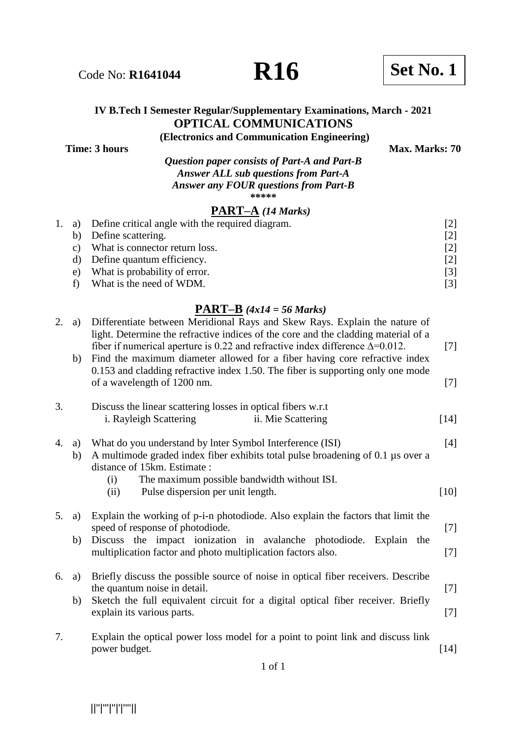# Code No: **R1641044 R16 R16 Set No. 1**

# **IV B.Tech I Semester Regular/Supplementary Examinations, March - 2021 OPTICAL COMMUNICATIONS**

**(Electronics and Communication Engineering)**

**Time: 3 hours** Max. Marks: 70

*Question paper consists of Part-A and Part-B Answer ALL sub questions from Part-A Answer any FOUR questions from Part-B*  **\*\*\*\*\***

### **PART–A** *(14 Marks)*

|  |    | 1. a) Define critical angle with the required diagram. |                   |
|--|----|--------------------------------------------------------|-------------------|
|  | b) | Define scattering.                                     | [2]               |
|  | C) | What is connector return loss.                         | $\lceil 2 \rceil$ |
|  |    | d) Define quantum efficiency.                          | [2]               |
|  | e) | What is probability of error.                          | [3]               |
|  |    | What is the need of WDM.                               |                   |

#### **PART–B** *(4x14 = 56 Marks)*

| 2. | a)       | Differentiate between Meridional Rays and Skew Rays. Explain the nature of<br>light. Determine the refractive indices of the core and the cladding material of a<br>fiber if numerical aperture is 0.22 and refractive index difference $\Delta = 0.012$ . | $[7]$  |
|----|----------|------------------------------------------------------------------------------------------------------------------------------------------------------------------------------------------------------------------------------------------------------------|--------|
|    | b)       | Find the maximum diameter allowed for a fiber having core refractive index<br>0.153 and cladding refractive index 1.50. The fiber is supporting only one mode                                                                                              |        |
|    |          | of a wavelength of 1200 nm.                                                                                                                                                                                                                                | $[7]$  |
| 3. |          | Discuss the linear scattering losses in optical fibers w.r.t<br>i. Rayleigh Scattering<br>ii. Mie Scattering                                                                                                                                               | $[14]$ |
| 4. | a)<br>b) | What do you understand by Inter Symbol Interference (ISI)<br>A multimode graded index fiber exhibits total pulse broadening of $0.1 \mu s$ over a<br>distance of 15km. Estimate :                                                                          | [4]    |
|    |          | The maximum possible bandwidth without ISI.<br>(i)<br>Pulse dispersion per unit length.<br>(ii)                                                                                                                                                            | $[10]$ |
| 5. | a)       | Explain the working of p-i-n photodiode. Also explain the factors that limit the<br>speed of response of photodiode.                                                                                                                                       | $[7]$  |
|    | b)       | Discuss the impact ionization in avalanche photodiode. Explain the<br>multiplication factor and photo multiplication factors also.                                                                                                                         | $[7]$  |
| 6. | a)       | Briefly discuss the possible source of noise in optical fiber receivers. Describe                                                                                                                                                                          |        |
|    | b)       | the quantum noise in detail.<br>Sketch the full equivalent circuit for a digital optical fiber receiver. Briefly                                                                                                                                           | $[7]$  |
|    |          | explain its various parts.                                                                                                                                                                                                                                 | $[7]$  |
| 7. |          | Explain the optical power loss model for a point to point link and discuss link<br>power budget.                                                                                                                                                           | [14]   |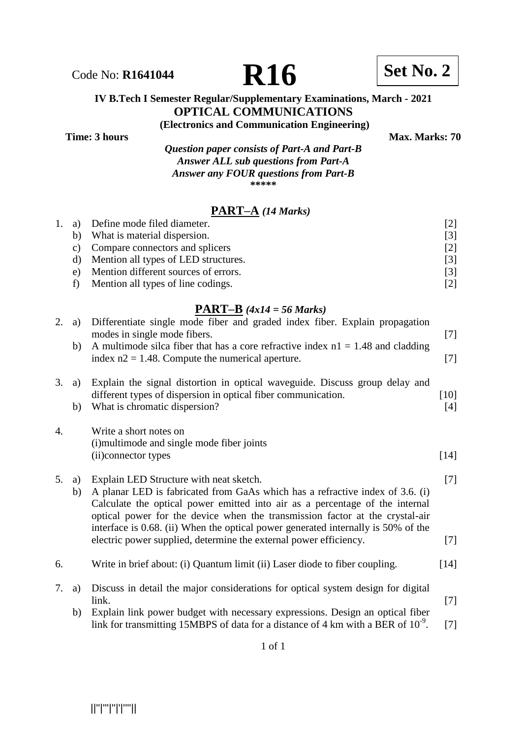#### **IV B.Tech I Semester Regular/Supplementary Examinations, March - 2021 OPTICAL COMMUNICATIONS**

**(Electronics and Communication Engineering)**

**Time: 3 hours** Max. Marks: 70

*Question paper consists of Part-A and Part-B Answer ALL sub questions from Part-A Answer any FOUR questions from Part-B* **\*\*\*\*\***

# **PART–A** *(14 Marks)*

| 1. | a) | Define mode filed diameter.          | $\lceil 2 \rceil$ |
|----|----|--------------------------------------|-------------------|
|    | b) | What is material dispersion.         | [3]               |
|    | C) | Compare connectors and splicers      | [2]               |
|    | d) | Mention all types of LED structures. | [3]               |
|    | e) | Mention different sources of errors. | [3]               |
|    |    | Mention all types of line codings.   | [2]               |

#### **PART–B** *(4x14 = 56 Marks)*

| a)<br>b) | Differentiate single mode fiber and graded index fiber. Explain propagation<br>modes in single mode fibers.<br>A multimode silca fiber that has a core refractive index $nl = 1.48$ and cladding<br>index $n2 = 1.48$ . Compute the numerical aperture.                                                                                                                                                                                            | $[7]$<br>$[7]$ |
|----------|----------------------------------------------------------------------------------------------------------------------------------------------------------------------------------------------------------------------------------------------------------------------------------------------------------------------------------------------------------------------------------------------------------------------------------------------------|----------------|
| a)<br>b) | Explain the signal distortion in optical waveguide. Discuss group delay and<br>different types of dispersion in optical fiber communication.<br>What is chromatic dispersion?                                                                                                                                                                                                                                                                      | $[10]$<br>[4]  |
|          | Write a short notes on<br>(i) multimode and single mode fiber joints<br>(ii) connector types                                                                                                                                                                                                                                                                                                                                                       | $[14]$         |
| a)<br>b) | Explain LED Structure with neat sketch.<br>A planar LED is fabricated from GaAs which has a refractive index of 3.6. (i)<br>Calculate the optical power emitted into air as a percentage of the internal<br>optical power for the device when the transmission factor at the crystal-air<br>interface is 0.68. (ii) When the optical power generated internally is 50% of the<br>electric power supplied, determine the external power efficiency. | $[7]$<br>$[7]$ |
|          | Write in brief about: (i) Quantum limit (ii) Laser diode to fiber coupling.                                                                                                                                                                                                                                                                                                                                                                        | $[14]$         |
| a)<br>b) | Discuss in detail the major considerations for optical system design for digital<br>link.<br>Explain link power budget with necessary expressions. Design an optical fiber<br>link for transmitting 15MBPS of data for a distance of 4 km with a BER of $10^{-9}$ .                                                                                                                                                                                | $[7]$<br>$[7]$ |
|          |                                                                                                                                                                                                                                                                                                                                                                                                                                                    |                |

Code No: **R1641044 R16 Set No. 2**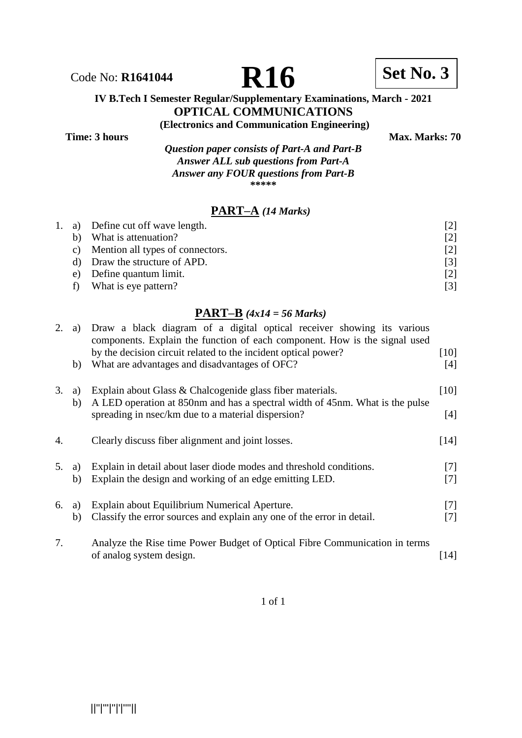

#### **IV B.Tech I Semester Regular/Supplementary Examinations, March - 2021 OPTICAL COMMUNICATIONS**

**(Electronics and Communication Engineering)**

**Time: 3 hours** Max. Marks: 70

*Question paper consists of Part-A and Part-B Answer ALL sub questions from Part-A Answer any FOUR questions from Part-B* **\*\*\*\*\***

## **PART–A** *(14 Marks)*

|    | 1. a) Define cut off wave length.   | [2]               |
|----|-------------------------------------|-------------------|
|    | b) What is attenuation?             | [2]               |
|    | c) Mention all types of connectors. | [2]               |
|    | d) Draw the structure of APD.       | $\lceil 3 \rceil$ |
| e) | Define quantum limit.               | [2]               |
|    | What is eye pattern?                | [3]               |

#### **PART–B** *(4x14 = 56 Marks)*

|    |          | $\frac{1}{2}$ $\frac{1}{2}$ $\frac{1}{2}$ $\frac{1}{2}$ $\frac{1}{2}$ $\frac{1}{2}$ $\frac{1}{2}$ $\frac{1}{2}$ $\frac{1}{2}$ $\frac{1}{2}$ $\frac{1}{2}$ $\frac{1}{2}$ $\frac{1}{2}$ $\frac{1}{2}$ $\frac{1}{2}$ $\frac{1}{2}$ $\frac{1}{2}$ $\frac{1}{2}$ $\frac{1}{2}$ $\frac{1}{2}$ $\frac{1}{2}$ $\frac{1}{2}$ |                |
|----|----------|---------------------------------------------------------------------------------------------------------------------------------------------------------------------------------------------------------------------------------------------------------------------------------------------------------------------|----------------|
|    | a)       | Draw a black diagram of a digital optical receiver showing its various<br>components. Explain the function of each component. How is the signal used<br>by the decision circuit related to the incident optical power?                                                                                              | $[10]$         |
|    | b)       | What are advantages and disadvantages of OFC?                                                                                                                                                                                                                                                                       | [4]            |
| 3. | a)<br>b) | Explain about Glass & Chalcogenide glass fiber materials.<br>A LED operation at 850nm and has a spectral width of 45nm. What is the pulse                                                                                                                                                                           | [10]           |
|    |          | spreading in nsec/km due to a material dispersion?                                                                                                                                                                                                                                                                  | $[4]$          |
| 4. |          | Clearly discuss fiber alignment and joint losses.                                                                                                                                                                                                                                                                   | [14]           |
| 5. | a)<br>b) | Explain in detail about laser diode modes and threshold conditions.<br>Explain the design and working of an edge emitting LED.                                                                                                                                                                                      | $[7]$<br>[7]   |
| 6. | a)<br>b) | Explain about Equilibrium Numerical Aperture.<br>Classify the error sources and explain any one of the error in detail.                                                                                                                                                                                             | $[7]$<br>$[7]$ |
| 7. |          | Analyze the Rise time Power Budget of Optical Fibre Communication in terms<br>of analog system design.                                                                                                                                                                                                              | [14]           |

1 of 1